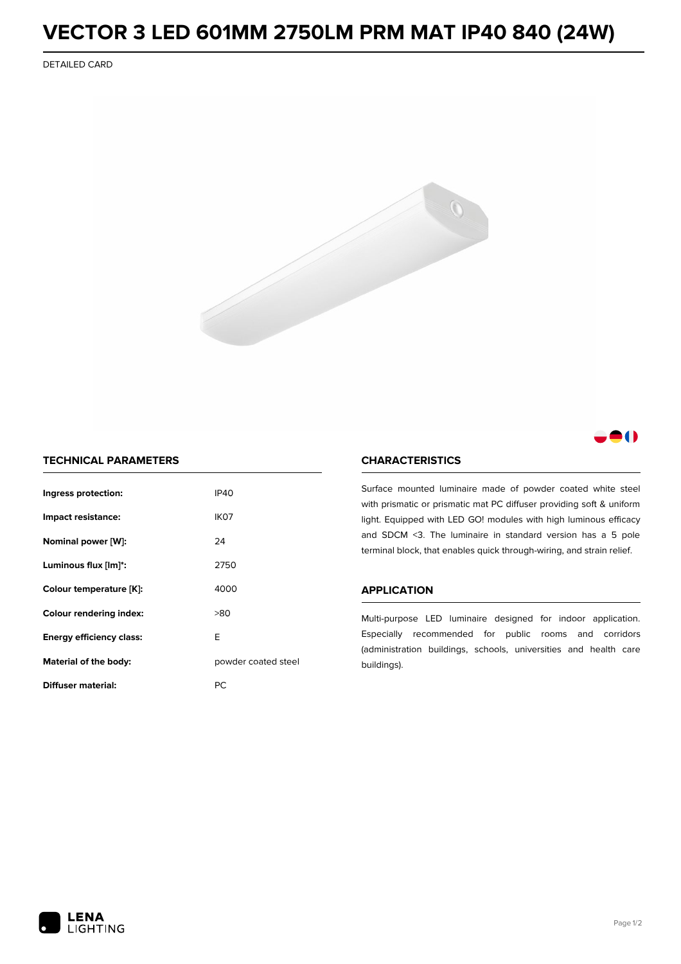# **VECTOR 3 LED 601MM 2750LM PRM MAT IP40 840 (24W)**

DETAILED CARD



### 8 O

#### **TECHNICAL PARAMETERS**

| Ingress protection:            | <b>IP40</b>         |  |
|--------------------------------|---------------------|--|
| Impact resistance:             | IK <sub>07</sub>    |  |
| Nominal power [W]:             | 24                  |  |
| Luminous flux [lm]*:           | 2750                |  |
| Colour temperature [K]:        | 4000                |  |
| <b>Colour rendering index:</b> | >80                 |  |
| F<br>Energy efficiency class:  |                     |  |
| Material of the body:          | powder coated steel |  |
| Diffuser material:             | РC                  |  |

#### **CHARACTERISTICS**

Surface mounted luminaire made of powder coated white steel with prismatic or prismatic mat PC diffuser providing soft & uniform light. Equipped with LED GO! modules with high luminous efficacy and SDCM <3. The luminaire in standard version has a 5 pole terminal block, that enables quick through-wiring, and strain relief.

#### **APPLICATION**

Multi-purpose LED luminaire designed for indoor application. Especially recommended for public rooms and corridors (administration buildings, schools, universities and health care buildings).